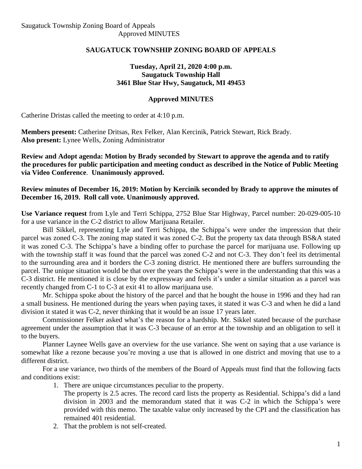#### **SAUGATUCK TOWNSHIP ZONING BOARD OF APPEALS**

#### **Tuesday, April 21, 2020 4:00 p.m. Saugatuck Township Hall 3461 Blue Star Hwy, Saugatuck, MI 49453**

#### **Approved MINUTES**

Catherine Dristas called the meeting to order at 4:10 p.m.

**Members present:** Catherine Dritsas, Rex Felker, Alan Kercinik, Patrick Stewart, Rick Brady. **Also present:** Lynee Wells, Zoning Administrator

**Review and Adopt agenda: Motion by Brady seconded by Stewart to approve the agenda and to ratify the procedures for public participation and meeting conduct as described in the Notice of Public Meeting via Video Conference**. **Unanimously approved.**

#### **Review minutes of December 16, 2019: Motion by Kercinik seconded by Brady to approve the minutes of December 16, 2019. Roll call vote. Unanimously approved.**

**Use Variance request** from Lyle and Terri Schippa, 2752 Blue Star Highway, Parcel number: 20-029-005-10 for a use variance in the C-2 district to allow Marijuana Retailer.

Bill Sikkel, representing Lyle and Terri Schippa, the Schippa's were under the impression that their parcel was zoned C-3. The zoning map stated it was zoned C-2. But the property tax data through BS&A stated it was zoned C-3. The Schippa's have a binding offer to purchase the parcel for marijuana use. Following up with the township staff it was found that the parcel was zoned C-2 and not C-3. They don't feel its detrimental to the surrounding area and it borders the C-3 zoning district. He mentioned there are buffers surrounding the parcel. The unique situation would be that over the years the Schippa's were in the understanding that this was a C-3 district. He mentioned it is close by the expressway and feels it's under a similar situation as a parcel was recently changed from C-1 to C-3 at exit 41 to allow marijuana use.

Mr. Schippa spoke about the history of the parcel and that he bought the house in 1996 and they had ran a small business. He mentioned during the years when paying taxes, it stated it was C-3 and when he did a land division it stated it was C-2, never thinking that it would be an issue 17 years later.

Commissioner Felker asked what's the reason for a hardship. Mr. Sikkel stated because of the purchase agreement under the assumption that it was C-3 because of an error at the township and an obligation to sell it to the buyers.

Planner Laynee Wells gave an overview for the use variance. She went on saying that a use variance is somewhat like a rezone because you're moving a use that is allowed in one district and moving that use to a different district.

For a use variance, two thirds of the members of the Board of Appeals must find that the following facts and conditions exist:

- 1. There are unique circumstances peculiar to the property.
	- The property is 2.5 acres. The record card lists the property as Residential. Schippa's did a land division in 2003 and the memorandum stated that it was C-2 in which the Schippa's were provided with this memo. The taxable value only increased by the CPI and the classification has remained 401 residential.
- 2. That the problem is not self-created.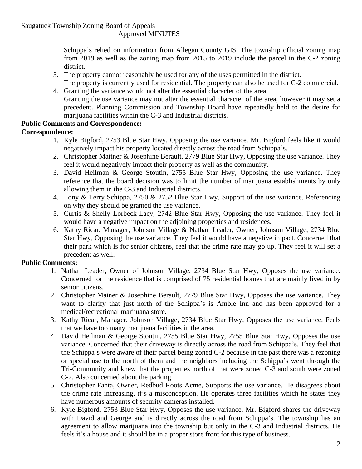#### Approved MINUTES

Schippa's relied on information from Allegan County GIS. The township official zoning map from 2019 as well as the zoning map from 2015 to 2019 include the parcel in the C-2 zoning district.

- 3. The property cannot reasonably be used for any of the uses permitted in the district.
- The property is currently used for residential. The property can also be used for C-2 commercial. 4. Granting the variance would not alter the essential character of the area.
- Granting the use variance may not alter the essential character of the area, however it may set a precedent. Planning Commission and Township Board have repeatedly held to the desire for marijuana facilities within the C-3 and Industrial districts.

# **Public Comments and Correspondence:**

- **Correspondence:**
	- 1. Kyle Bigford, 2753 Blue Star Hwy, Opposing the use variance. Mr. Bigford feels like it would negatively impact his property located directly across the road from Schippa's.
	- 2. Christopher Maitner & Josephine Berault, 2779 Blue Star Hwy, Opposing the use variance. They feel it would negatively impact their property as well as the community.
	- 3. David Heilman & George Stoutin, 2755 Blue Star Hwy, Opposing the use variance. They reference that the board decision was to limit the number of marijuana establishments by only allowing them in the C-3 and Industrial districts.
	- 4. Tony & Terry Schippa, 2750 & 2752 Blue Star Hwy, Support of the use variance. Referencing on why they should be granted the use variance.
	- 5. Curtis & Shelly Lorbeck-Lacy, 2742 Blue Star Hwy, Opposing the use variance. They feel it would have a negative impact on the adjoining properties and residences.
	- 6. Kathy Ricar, Manager, Johnson Village & Nathan Leader, Owner, Johnson Village, 2734 Blue Star Hwy, Opposing the use variance. They feel it would have a negative impact. Concerned that their park which is for senior citizens, feel that the crime rate may go up. They feel it will set a precedent as well.

## **Public Comments:**

- 1. Nathan Leader, Owner of Johnson Village, 2734 Blue Star Hwy, Opposes the use variance. Concerned for the residence that is comprised of 75 residential homes that are mainly lived in by senior citizens.
- 2. Christopher Mainer & Josephine Berault, 2779 Blue Star Hwy, Opposes the use variance. They want to clarify that just north of the Schippa's is Amble Inn and has been approved for a medical/recreational marijuana store.
- 3. Kathy Ricar, Manager, Johnson Village, 2734 Blue Star Hwy, Opposes the use variance. Feels that we have too many marijuana facilities in the area.
- 4. David Heilman & George Stoutin, 2755 Blue Star Hwy, 2755 Blue Star Hwy, Opposes the use variance. Concerned that their driveway is directly across the road from Schippa's. They feel that the Schippa's were aware of their parcel being zoned C-2 because in the past there was a rezoning or special use to the north of them and the neighbors including the Schippa's went through the Tri-Community and knew that the properties north of that were zoned C-3 and south were zoned C-2. Also concerned about the parking.
- 5. Christopher Fanta, Owner, Redbud Roots Acme, Supports the use variance. He disagrees about the crime rate increasing, it's a misconception. He operates three facilities which he states they have numerous amounts of security cameras installed.
- 6. Kyle Bigford, 2753 Blue Star Hwy, Opposes the use variance. Mr. Bigford shares the driveway with David and George and is directly across the road from Schippa's. The township has an agreement to allow marijuana into the township but only in the C-3 and Industrial districts. He feels it's a house and it should be in a proper store front for this type of business.